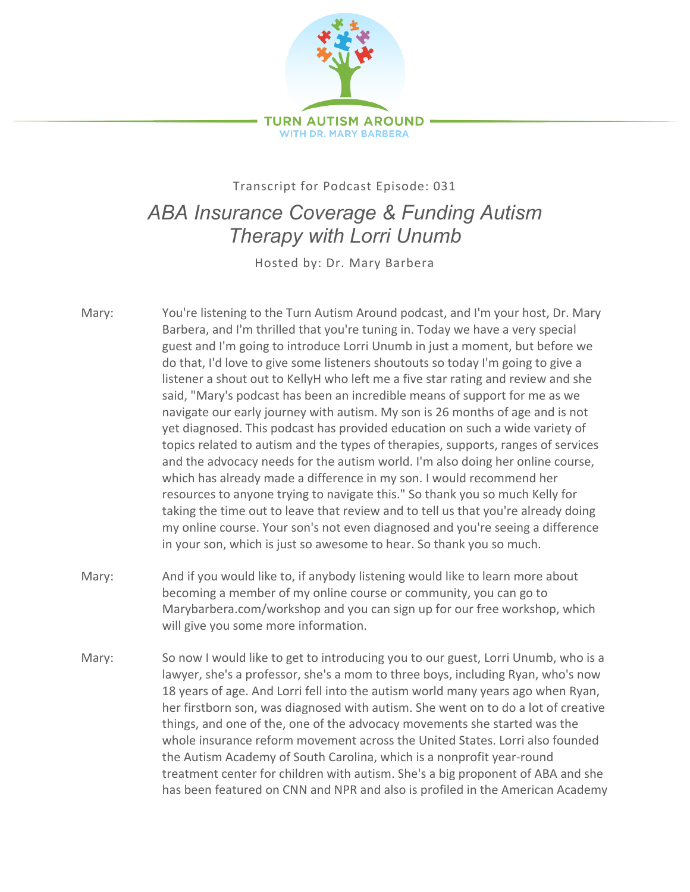

## Transcript for Podcast Episode: 031 *ABA Insurance Coverage & Funding Autism Therapy with Lorri Unumb*

Hosted by: Dr. Mary Barbera

- Mary: You're listening to the Turn Autism Around podcast, and I'm your host, Dr. Mary Barbera, and I'm thrilled that you're tuning in. Today we have a very special guest and I'm going to introduce Lorri Unumb in just a moment, but before we do that, I'd love to give some listeners shoutouts so today I'm going to give a listener a shout out to KellyH who left me a five star rating and review and she said, "Mary's podcast has been an incredible means of support for me as we navigate our early journey with autism. My son is 26 months of age and is not yet diagnosed. This podcast has provided education on such a wide variety of topics related to autism and the types of therapies, supports, ranges of services and the advocacy needs for the autism world. I'm also doing her online course, which has already made a difference in my son. I would recommend her resources to anyone trying to navigate this." So thank you so much Kelly for taking the time out to leave that review and to tell us that you're already doing my online course. Your son's not even diagnosed and you're seeing a difference in your son, which is just so awesome to hear. So thank you so much.
- Mary: And if you would like to, if anybody listening would like to learn more about becoming a member of my online course or community, you can go to Marybarbera.com/workshop and you can sign up for our free workshop, which will give you some more information.
- Mary: So now I would like to get to introducing you to our guest, Lorri Unumb, who is a lawyer, she's a professor, she's a mom to three boys, including Ryan, who's now 18 years of age. And Lorri fell into the autism world many years ago when Ryan, her firstborn son, was diagnosed with autism. She went on to do a lot of creative things, and one of the, one of the advocacy movements she started was the whole insurance reform movement across the United States. Lorri also founded the Autism Academy of South Carolina, which is a nonprofit year-round treatment center for children with autism. She's a big proponent of ABA and she has been featured on CNN and NPR and also is profiled in the American Academy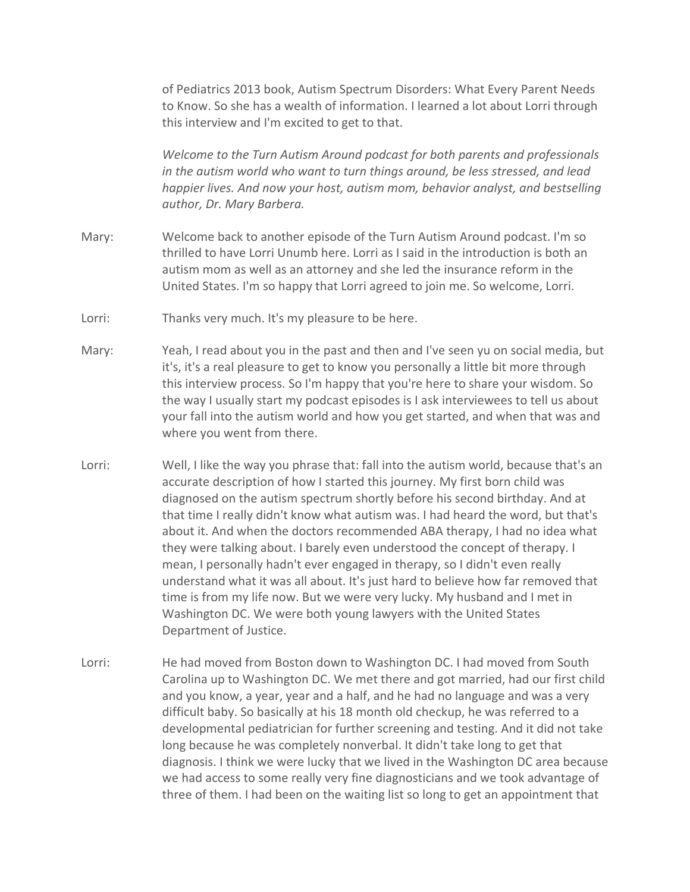of Pediatrics 2013 book, Autism Spectrum Disorders: What Every Parent Needs to Know. So she has a wealth of information. I learned a lot about Lorri through this interview and I'm excited to get to that.

*Welcome to the Turn Autism Around podcast for both parents and professionals in the autism world who want to turn things around, be less stressed, and lead happier lives. And now your host, autism mom, behavior analyst, and bestselling author, Dr. Mary Barbera.*

- Mary: Welcome back to another episode of the Turn Autism Around podcast. I'm so thrilled to have Lorri Unumb here. Lorri as I said in the introduction is both an autism mom as well as an attorney and she led the insurance reform in the United States. I'm so happy that Lorri agreed to join me. So welcome, Lorri.
- Lorri: Thanks very much. It's my pleasure to be here.
- Mary: Yeah, I read about you in the past and then and I've seen yu on social media, but it's, it's a real pleasure to get to know you personally a little bit more through this interview process. So I'm happy that you're here to share your wisdom. So the way I usually start my podcast episodes is I ask interviewees to tell us about your fall into the autism world and how you get started, and when that was and where you went from there.
- Lorri: Well, I like the way you phrase that: fall into the autism world, because that's an accurate description of how I started this journey. My first born child was diagnosed on the autism spectrum shortly before his second birthday. And at that time I really didn't know what autism was. I had heard the word, but that's about it. And when the doctors recommended ABA therapy, I had no idea what they were talking about. I barely even understood the concept of therapy. I mean, I personally hadn't ever engaged in therapy, so I didn't even really understand what it was all about. It's just hard to believe how far removed that time is from my life now. But we were very lucky. My husband and I met in Washington DC. We were both young lawyers with the United States Department of Justice.
- Lorri: He had moved from Boston down to Washington DC. I had moved from South Carolina up to Washington DC. We met there and got married, had our first child and you know, a year, year and a half, and he had no language and was a very difficult baby. So basically at his 18 month old checkup, he was referred to a developmental pediatrician for further screening and testing. And it did not take long because he was completely nonverbal. It didn't take long to get that diagnosis. I think we were lucky that we lived in the Washington DC area because we had access to some really very fine diagnosticians and we took advantage of three of them. I had been on the waiting list so long to get an appointment that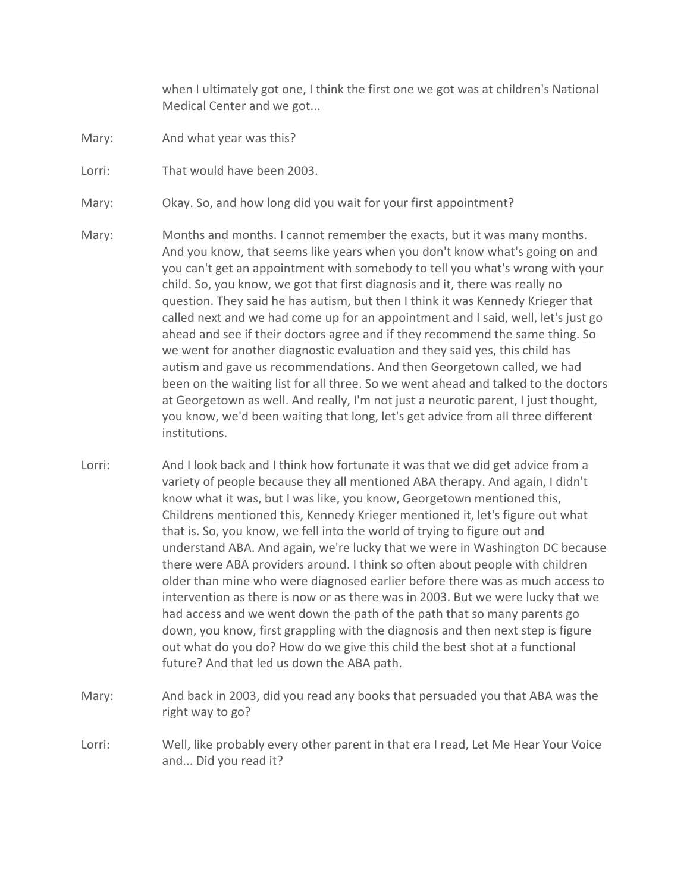when I ultimately got one, I think the first one we got was at children's National Medical Center and we got...

- Mary: And what year was this?
- Lorri: That would have been 2003.
- Mary: Okay. So, and how long did you wait for your first appointment?
- Mary: Months and months. I cannot remember the exacts, but it was many months. And you know, that seems like years when you don't know what's going on and you can't get an appointment with somebody to tell you what's wrong with your child. So, you know, we got that first diagnosis and it, there was really no question. They said he has autism, but then I think it was Kennedy Krieger that called next and we had come up for an appointment and I said, well, let's just go ahead and see if their doctors agree and if they recommend the same thing. So we went for another diagnostic evaluation and they said yes, this child has autism and gave us recommendations. And then Georgetown called, we had been on the waiting list for all three. So we went ahead and talked to the doctors at Georgetown as well. And really, I'm not just a neurotic parent, I just thought, you know, we'd been waiting that long, let's get advice from all three different institutions.
- Lorri: And I look back and I think how fortunate it was that we did get advice from a variety of people because they all mentioned ABA therapy. And again, I didn't know what it was, but I was like, you know, Georgetown mentioned this, Childrens mentioned this, Kennedy Krieger mentioned it, let's figure out what that is. So, you know, we fell into the world of trying to figure out and understand ABA. And again, we're lucky that we were in Washington DC because there were ABA providers around. I think so often about people with children older than mine who were diagnosed earlier before there was as much access to intervention as there is now or as there was in 2003. But we were lucky that we had access and we went down the path of the path that so many parents go down, you know, first grappling with the diagnosis and then next step is figure out what do you do? How do we give this child the best shot at a functional future? And that led us down the ABA path.
- Mary: And back in 2003, did you read any books that persuaded you that ABA was the right way to go?
- Lorri: Well, like probably every other parent in that era I read, Let Me Hear Your Voice and... Did you read it?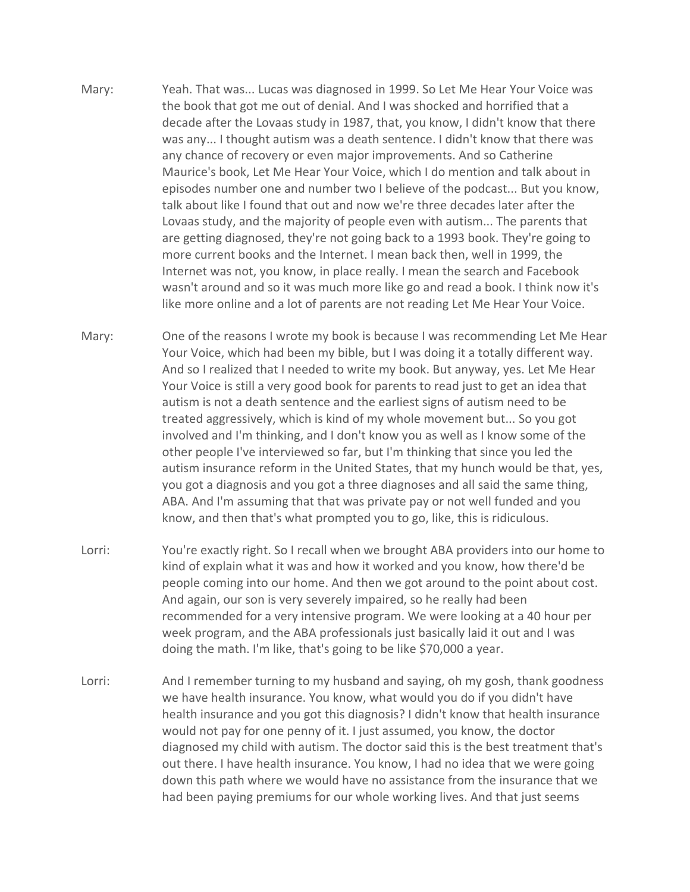- Mary: Yeah. That was... Lucas was diagnosed in 1999. So Let Me Hear Your Voice was the book that got me out of denial. And I was shocked and horrified that a decade after the Lovaas study in 1987, that, you know, I didn't know that there was any... I thought autism was a death sentence. I didn't know that there was any chance of recovery or even major improvements. And so Catherine Maurice's book, Let Me Hear Your Voice, which I do mention and talk about in episodes number one and number two I believe of the podcast... But you know, talk about like I found that out and now we're three decades later after the Lovaas study, and the majority of people even with autism... The parents that are getting diagnosed, they're not going back to a 1993 book. They're going to more current books and the Internet. I mean back then, well in 1999, the Internet was not, you know, in place really. I mean the search and Facebook wasn't around and so it was much more like go and read a book. I think now it's like more online and a lot of parents are not reading Let Me Hear Your Voice.
- Mary: One of the reasons I wrote my book is because I was recommending Let Me Hear Your Voice, which had been my bible, but I was doing it a totally different way. And so I realized that I needed to write my book. But anyway, yes. Let Me Hear Your Voice is still a very good book for parents to read just to get an idea that autism is not a death sentence and the earliest signs of autism need to be treated aggressively, which is kind of my whole movement but... So you got involved and I'm thinking, and I don't know you as well as I know some of the other people I've interviewed so far, but I'm thinking that since you led the autism insurance reform in the United States, that my hunch would be that, yes, you got a diagnosis and you got a three diagnoses and all said the same thing, ABA. And I'm assuming that that was private pay or not well funded and you know, and then that's what prompted you to go, like, this is ridiculous.
- Lorri: You're exactly right. So I recall when we brought ABA providers into our home to kind of explain what it was and how it worked and you know, how there'd be people coming into our home. And then we got around to the point about cost. And again, our son is very severely impaired, so he really had been recommended for a very intensive program. We were looking at a 40 hour per week program, and the ABA professionals just basically laid it out and I was doing the math. I'm like, that's going to be like \$70,000 a year.
- Lorri: And I remember turning to my husband and saying, oh my gosh, thank goodness we have health insurance. You know, what would you do if you didn't have health insurance and you got this diagnosis? I didn't know that health insurance would not pay for one penny of it. I just assumed, you know, the doctor diagnosed my child with autism. The doctor said this is the best treatment that's out there. I have health insurance. You know, I had no idea that we were going down this path where we would have no assistance from the insurance that we had been paying premiums for our whole working lives. And that just seems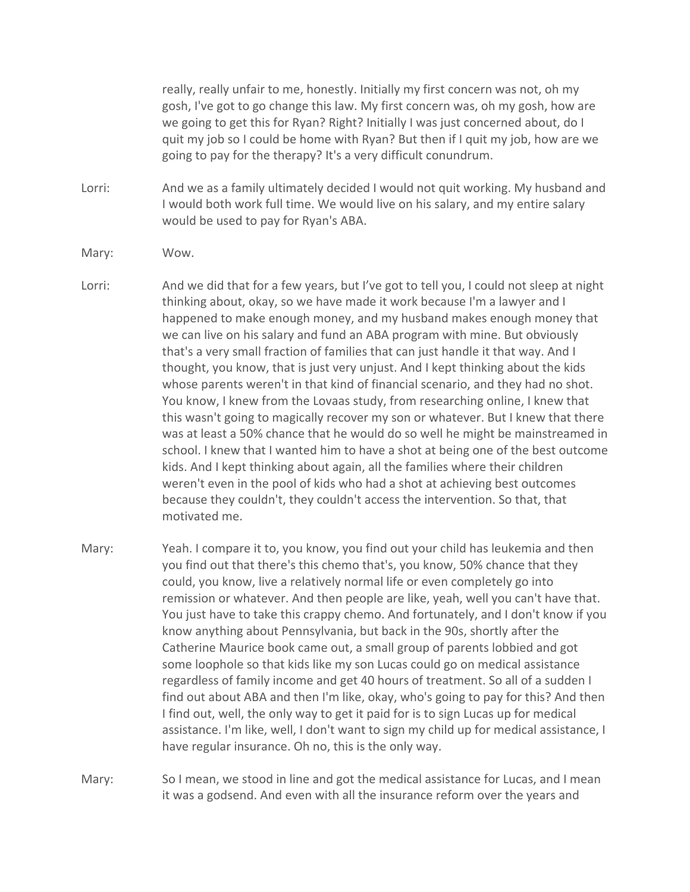really, really unfair to me, honestly. Initially my first concern was not, oh my gosh, I've got to go change this law. My first concern was, oh my gosh, how are we going to get this for Ryan? Right? Initially I was just concerned about, do I quit my job so I could be home with Ryan? But then if I quit my job, how are we going to pay for the therapy? It's a very difficult conundrum.

- Lorri: And we as a family ultimately decided I would not quit working. My husband and I would both work full time. We would live on his salary, and my entire salary would be used to pay for Ryan's ABA.
- Mary: Wow.
- Lorri: And we did that for a few years, but I've got to tell you, I could not sleep at night thinking about, okay, so we have made it work because I'm a lawyer and I happened to make enough money, and my husband makes enough money that we can live on his salary and fund an ABA program with mine. But obviously that's a very small fraction of families that can just handle it that way. And I thought, you know, that is just very unjust. And I kept thinking about the kids whose parents weren't in that kind of financial scenario, and they had no shot. You know, I knew from the Lovaas study, from researching online, I knew that this wasn't going to magically recover my son or whatever. But I knew that there was at least a 50% chance that he would do so well he might be mainstreamed in school. I knew that I wanted him to have a shot at being one of the best outcome kids. And I kept thinking about again, all the families where their children weren't even in the pool of kids who had a shot at achieving best outcomes because they couldn't, they couldn't access the intervention. So that, that motivated me.
- Mary: Yeah. I compare it to, you know, you find out your child has leukemia and then you find out that there's this chemo that's, you know, 50% chance that they could, you know, live a relatively normal life or even completely go into remission or whatever. And then people are like, yeah, well you can't have that. You just have to take this crappy chemo. And fortunately, and I don't know if you know anything about Pennsylvania, but back in the 90s, shortly after the Catherine Maurice book came out, a small group of parents lobbied and got some loophole so that kids like my son Lucas could go on medical assistance regardless of family income and get 40 hours of treatment. So all of a sudden I find out about ABA and then I'm like, okay, who's going to pay for this? And then I find out, well, the only way to get it paid for is to sign Lucas up for medical assistance. I'm like, well, I don't want to sign my child up for medical assistance, I have regular insurance. Oh no, this is the only way.
- Mary: So I mean, we stood in line and got the medical assistance for Lucas, and I mean it was a godsend. And even with all the insurance reform over the years and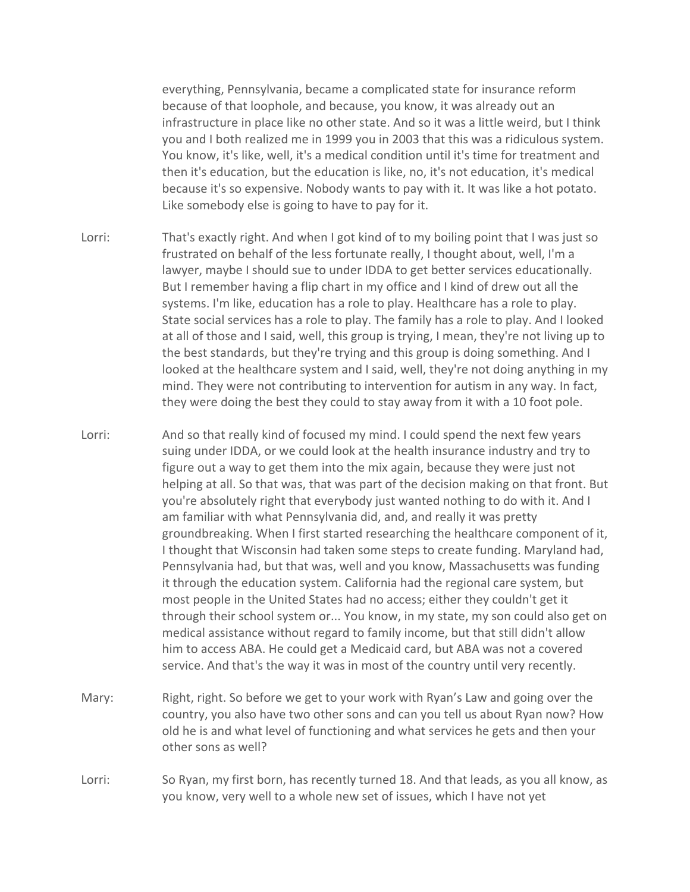everything, Pennsylvania, became a complicated state for insurance reform because of that loophole, and because, you know, it was already out an infrastructure in place like no other state. And so it was a little weird, but I think you and I both realized me in 1999 you in 2003 that this was a ridiculous system. You know, it's like, well, it's a medical condition until it's time for treatment and then it's education, but the education is like, no, it's not education, it's medical because it's so expensive. Nobody wants to pay with it. It was like a hot potato. Like somebody else is going to have to pay for it.

- Lorri: That's exactly right. And when I got kind of to my boiling point that I was just so frustrated on behalf of the less fortunate really, I thought about, well, I'm a lawyer, maybe I should sue to under IDDA to get better services educationally. But I remember having a flip chart in my office and I kind of drew out all the systems. I'm like, education has a role to play. Healthcare has a role to play. State social services has a role to play. The family has a role to play. And I looked at all of those and I said, well, this group is trying, I mean, they're not living up to the best standards, but they're trying and this group is doing something. And I looked at the healthcare system and I said, well, they're not doing anything in my mind. They were not contributing to intervention for autism in any way. In fact, they were doing the best they could to stay away from it with a 10 foot pole.
- Lorri: And so that really kind of focused my mind. I could spend the next few years suing under IDDA, or we could look at the health insurance industry and try to figure out a way to get them into the mix again, because they were just not helping at all. So that was, that was part of the decision making on that front. But you're absolutely right that everybody just wanted nothing to do with it. And I am familiar with what Pennsylvania did, and, and really it was pretty groundbreaking. When I first started researching the healthcare component of it, I thought that Wisconsin had taken some steps to create funding. Maryland had, Pennsylvania had, but that was, well and you know, Massachusetts was funding it through the education system. California had the regional care system, but most people in the United States had no access; either they couldn't get it through their school system or... You know, in my state, my son could also get on medical assistance without regard to family income, but that still didn't allow him to access ABA. He could get a Medicaid card, but ABA was not a covered service. And that's the way it was in most of the country until very recently.
- Mary: Right, right. So before we get to your work with Ryan's Law and going over the country, you also have two other sons and can you tell us about Ryan now? How old he is and what level of functioning and what services he gets and then your other sons as well?
- Lorri: So Ryan, my first born, has recently turned 18. And that leads, as you all know, as you know, very well to a whole new set of issues, which I have not yet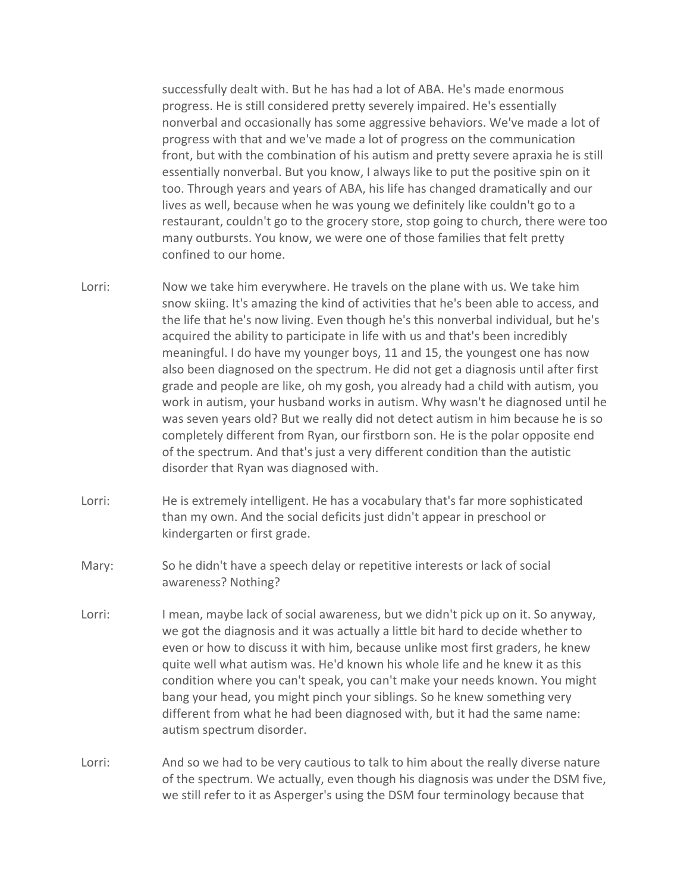successfully dealt with. But he has had a lot of ABA. He's made enormous progress. He is still considered pretty severely impaired. He's essentially nonverbal and occasionally has some aggressive behaviors. We've made a lot of progress with that and we've made a lot of progress on the communication front, but with the combination of his autism and pretty severe apraxia he is still essentially nonverbal. But you know, I always like to put the positive spin on it too. Through years and years of ABA, his life has changed dramatically and our lives as well, because when he was young we definitely like couldn't go to a restaurant, couldn't go to the grocery store, stop going to church, there were too many outbursts. You know, we were one of those families that felt pretty confined to our home.

- Lorri: Now we take him everywhere. He travels on the plane with us. We take him snow skiing. It's amazing the kind of activities that he's been able to access, and the life that he's now living. Even though he's this nonverbal individual, but he's acquired the ability to participate in life with us and that's been incredibly meaningful. I do have my younger boys, 11 and 15, the youngest one has now also been diagnosed on the spectrum. He did not get a diagnosis until after first grade and people are like, oh my gosh, you already had a child with autism, you work in autism, your husband works in autism. Why wasn't he diagnosed until he was seven years old? But we really did not detect autism in him because he is so completely different from Ryan, our firstborn son. He is the polar opposite end of the spectrum. And that's just a very different condition than the autistic disorder that Ryan was diagnosed with.
- Lorri: He is extremely intelligent. He has a vocabulary that's far more sophisticated than my own. And the social deficits just didn't appear in preschool or kindergarten or first grade.
- Mary: So he didn't have a speech delay or repetitive interests or lack of social awareness? Nothing?
- Lorri: I mean, maybe lack of social awareness, but we didn't pick up on it. So anyway, we got the diagnosis and it was actually a little bit hard to decide whether to even or how to discuss it with him, because unlike most first graders, he knew quite well what autism was. He'd known his whole life and he knew it as this condition where you can't speak, you can't make your needs known. You might bang your head, you might pinch your siblings. So he knew something very different from what he had been diagnosed with, but it had the same name: autism spectrum disorder.
- Lorri: And so we had to be very cautious to talk to him about the really diverse nature of the spectrum. We actually, even though his diagnosis was under the DSM five, we still refer to it as Asperger's using the DSM four terminology because that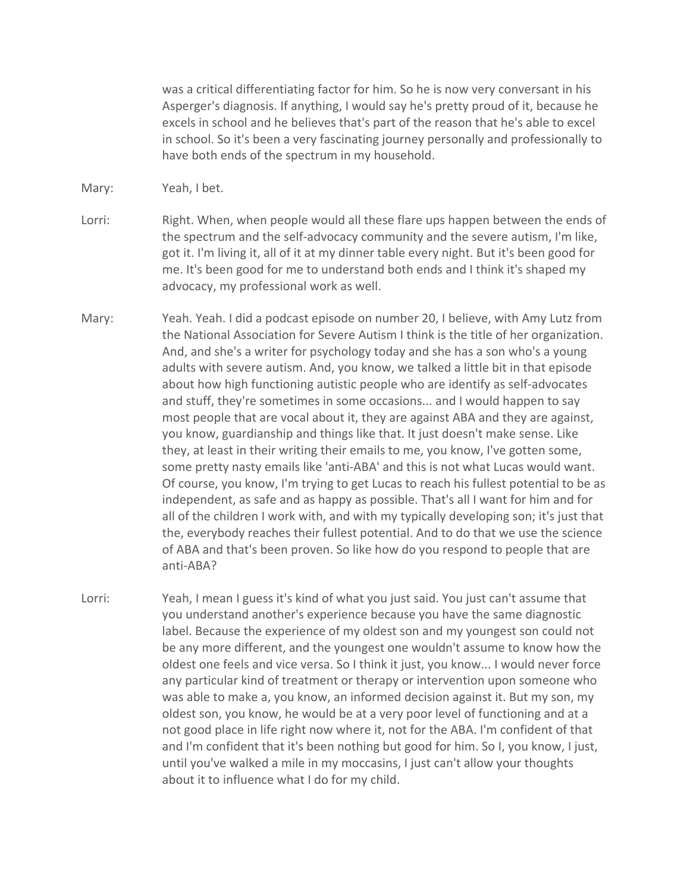was a critical differentiating factor for him. So he is now very conversant in his Asperger's diagnosis. If anything, I would say he's pretty proud of it, because he excels in school and he believes that's part of the reason that he's able to excel in school. So it's been a very fascinating journey personally and professionally to have both ends of the spectrum in my household.

- Mary: Yeah, I bet.
- Lorri: Right. When, when people would all these flare ups happen between the ends of the spectrum and the self-advocacy community and the severe autism, I'm like, got it. I'm living it, all of it at my dinner table every night. But it's been good for me. It's been good for me to understand both ends and I think it's shaped my advocacy, my professional work as well.
- Mary: Yeah. Yeah. I did a podcast episode on number 20, I believe, with Amy Lutz from the National Association for Severe Autism I think is the title of her organization. And, and she's a writer for psychology today and she has a son who's a young adults with severe autism. And, you know, we talked a little bit in that episode about how high functioning autistic people who are identify as self-advocates and stuff, they're sometimes in some occasions... and I would happen to say most people that are vocal about it, they are against ABA and they are against, you know, guardianship and things like that. It just doesn't make sense. Like they, at least in their writing their emails to me, you know, I've gotten some, some pretty nasty emails like 'anti-ABA' and this is not what Lucas would want. Of course, you know, I'm trying to get Lucas to reach his fullest potential to be as independent, as safe and as happy as possible. That's all I want for him and for all of the children I work with, and with my typically developing son; it's just that the, everybody reaches their fullest potential. And to do that we use the science of ABA and that's been proven. So like how do you respond to people that are anti-ABA?
- Lorri: Yeah, I mean I guess it's kind of what you just said. You just can't assume that you understand another's experience because you have the same diagnostic label. Because the experience of my oldest son and my youngest son could not be any more different, and the youngest one wouldn't assume to know how the oldest one feels and vice versa. So I think it just, you know... I would never force any particular kind of treatment or therapy or intervention upon someone who was able to make a, you know, an informed decision against it. But my son, my oldest son, you know, he would be at a very poor level of functioning and at a not good place in life right now where it, not for the ABA. I'm confident of that and I'm confident that it's been nothing but good for him. So I, you know, I just, until you've walked a mile in my moccasins, I just can't allow your thoughts about it to influence what I do for my child.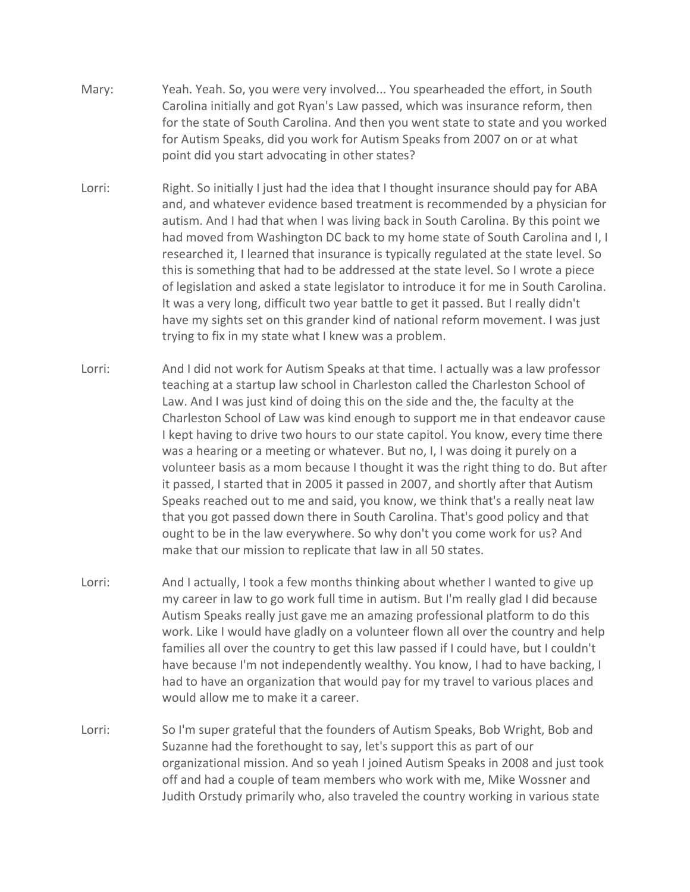- Mary: Yeah. Yeah. So, you were very involved... You spearheaded the effort, in South Carolina initially and got Ryan's Law passed, which was insurance reform, then for the state of South Carolina. And then you went state to state and you worked for Autism Speaks, did you work for Autism Speaks from 2007 on or at what point did you start advocating in other states?
- Lorri: Right. So initially I just had the idea that I thought insurance should pay for ABA and, and whatever evidence based treatment is recommended by a physician for autism. And I had that when I was living back in South Carolina. By this point we had moved from Washington DC back to my home state of South Carolina and I, I researched it, I learned that insurance is typically regulated at the state level. So this is something that had to be addressed at the state level. So I wrote a piece of legislation and asked a state legislator to introduce it for me in South Carolina. It was a very long, difficult two year battle to get it passed. But I really didn't have my sights set on this grander kind of national reform movement. I was just trying to fix in my state what I knew was a problem.
- Lorri: And I did not work for Autism Speaks at that time. I actually was a law professor teaching at a startup law school in Charleston called the Charleston School of Law. And I was just kind of doing this on the side and the, the faculty at the Charleston School of Law was kind enough to support me in that endeavor cause I kept having to drive two hours to our state capitol. You know, every time there was a hearing or a meeting or whatever. But no, I, I was doing it purely on a volunteer basis as a mom because I thought it was the right thing to do. But after it passed, I started that in 2005 it passed in 2007, and shortly after that Autism Speaks reached out to me and said, you know, we think that's a really neat law that you got passed down there in South Carolina. That's good policy and that ought to be in the law everywhere. So why don't you come work for us? And make that our mission to replicate that law in all 50 states.
- Lorri: And I actually, I took a few months thinking about whether I wanted to give up my career in law to go work full time in autism. But I'm really glad I did because Autism Speaks really just gave me an amazing professional platform to do this work. Like I would have gladly on a volunteer flown all over the country and help families all over the country to get this law passed if I could have, but I couldn't have because I'm not independently wealthy. You know, I had to have backing, I had to have an organization that would pay for my travel to various places and would allow me to make it a career.
- Lorri: So I'm super grateful that the founders of Autism Speaks, Bob Wright, Bob and Suzanne had the forethought to say, let's support this as part of our organizational mission. And so yeah I joined Autism Speaks in 2008 and just took off and had a couple of team members who work with me, Mike Wossner and Judith Orstudy primarily who, also traveled the country working in various state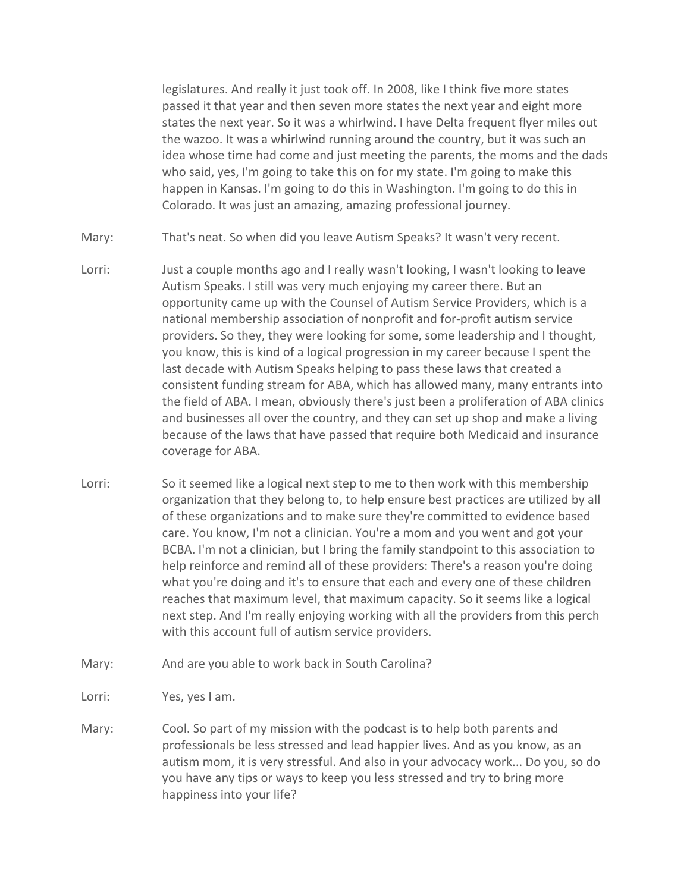legislatures. And really it just took off. In 2008, like I think five more states passed it that year and then seven more states the next year and eight more states the next year. So it was a whirlwind. I have Delta frequent flyer miles out the wazoo. It was a whirlwind running around the country, but it was such an idea whose time had come and just meeting the parents, the moms and the dads who said, yes, I'm going to take this on for my state. I'm going to make this happen in Kansas. I'm going to do this in Washington. I'm going to do this in Colorado. It was just an amazing, amazing professional journey.

- Mary: That's neat. So when did you leave Autism Speaks? It wasn't very recent.
- Lorri: Just a couple months ago and I really wasn't looking, I wasn't looking to leave Autism Speaks. I still was very much enjoying my career there. But an opportunity came up with the Counsel of Autism Service Providers, which is a national membership association of nonprofit and for-profit autism service providers. So they, they were looking for some, some leadership and I thought, you know, this is kind of a logical progression in my career because I spent the last decade with Autism Speaks helping to pass these laws that created a consistent funding stream for ABA, which has allowed many, many entrants into the field of ABA. I mean, obviously there's just been a proliferation of ABA clinics and businesses all over the country, and they can set up shop and make a living because of the laws that have passed that require both Medicaid and insurance coverage for ABA.
- Lorri: So it seemed like a logical next step to me to then work with this membership organization that they belong to, to help ensure best practices are utilized by all of these organizations and to make sure they're committed to evidence based care. You know, I'm not a clinician. You're a mom and you went and got your BCBA. I'm not a clinician, but I bring the family standpoint to this association to help reinforce and remind all of these providers: There's a reason you're doing what you're doing and it's to ensure that each and every one of these children reaches that maximum level, that maximum capacity. So it seems like a logical next step. And I'm really enjoying working with all the providers from this perch with this account full of autism service providers.
- Mary: And are you able to work back in South Carolina?
- Lorri: Yes, yes I am.
- Mary: Cool. So part of my mission with the podcast is to help both parents and professionals be less stressed and lead happier lives. And as you know, as an autism mom, it is very stressful. And also in your advocacy work... Do you, so do you have any tips or ways to keep you less stressed and try to bring more happiness into your life?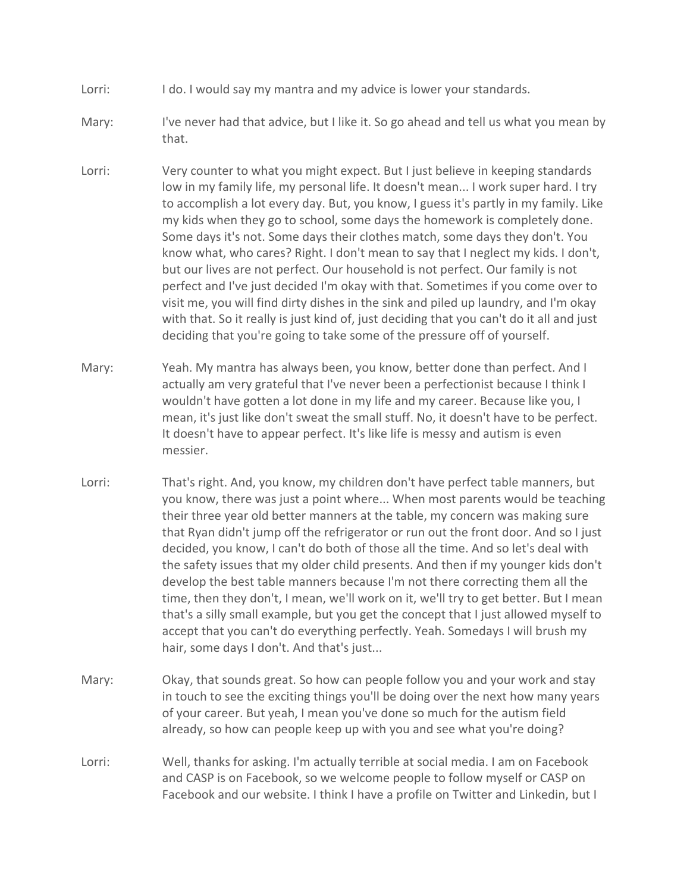- Lorri: I do. I would say my mantra and my advice is lower your standards.
- Mary: I've never had that advice, but I like it. So go ahead and tell us what you mean by that.
- Lorri: Very counter to what you might expect. But I just believe in keeping standards low in my family life, my personal life. It doesn't mean... I work super hard. I try to accomplish a lot every day. But, you know, I guess it's partly in my family. Like my kids when they go to school, some days the homework is completely done. Some days it's not. Some days their clothes match, some days they don't. You know what, who cares? Right. I don't mean to say that I neglect my kids. I don't, but our lives are not perfect. Our household is not perfect. Our family is not perfect and I've just decided I'm okay with that. Sometimes if you come over to visit me, you will find dirty dishes in the sink and piled up laundry, and I'm okay with that. So it really is just kind of, just deciding that you can't do it all and just deciding that you're going to take some of the pressure off of yourself.
- Mary: Yeah. My mantra has always been, you know, better done than perfect. And I actually am very grateful that I've never been a perfectionist because I think I wouldn't have gotten a lot done in my life and my career. Because like you, I mean, it's just like don't sweat the small stuff. No, it doesn't have to be perfect. It doesn't have to appear perfect. It's like life is messy and autism is even messier.
- Lorri: That's right. And, you know, my children don't have perfect table manners, but you know, there was just a point where... When most parents would be teaching their three year old better manners at the table, my concern was making sure that Ryan didn't jump off the refrigerator or run out the front door. And so I just decided, you know, I can't do both of those all the time. And so let's deal with the safety issues that my older child presents. And then if my younger kids don't develop the best table manners because I'm not there correcting them all the time, then they don't, I mean, we'll work on it, we'll try to get better. But I mean that's a silly small example, but you get the concept that I just allowed myself to accept that you can't do everything perfectly. Yeah. Somedays I will brush my hair, some days I don't. And that's just...
- Mary: Okay, that sounds great. So how can people follow you and your work and stay in touch to see the exciting things you'll be doing over the next how many years of your career. But yeah, I mean you've done so much for the autism field already, so how can people keep up with you and see what you're doing?
- Lorri: Well, thanks for asking. I'm actually terrible at social media. I am on Facebook and CASP is on Facebook, so we welcome people to follow myself or CASP on Facebook and our website. I think I have a profile on Twitter and Linkedin, but I